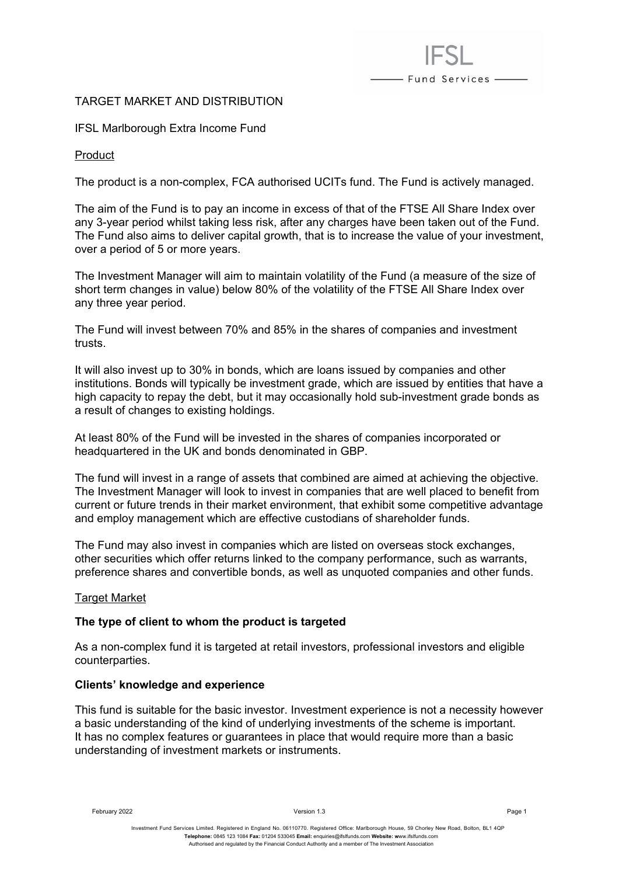# TARGET MARKET AND DISTRIBUTION

## IFSL Marlborough Extra Income Fund

Product

The product is a non-complex, FCA authorised UCITs fund. The Fund is actively managed.

- Fund Services -

The aim of the Fund is to pay an income in excess of that of the FTSE All Share Index over any 3-year period whilst taking less risk, after any charges have been taken out of the Fund. The Fund also aims to deliver capital growth, that is to increase the value of your investment, over a period of 5 or more years.

The Investment Manager will aim to maintain volatility of the Fund (a measure of the size of short term changes in value) below 80% of the volatility of the FTSE All Share Index over any three year period.

The Fund will invest between 70% and 85% in the shares of companies and investment trusts.

It will also invest up to 30% in bonds, which are loans issued by companies and other institutions. Bonds will typically be investment grade, which are issued by entities that have a high capacity to repay the debt, but it may occasionally hold sub-investment grade bonds as a result of changes to existing holdings.

At least 80% of the Fund will be invested in the shares of companies incorporated or headquartered in the UK and bonds denominated in GBP.

The fund will invest in a range of assets that combined are aimed at achieving the objective. The Investment Manager will look to invest in companies that are well placed to benefit from current or future trends in their market environment, that exhibit some competitive advantage and employ management which are effective custodians of shareholder funds.

The Fund may also invest in companies which are listed on overseas stock exchanges, other securities which offer returns linked to the company performance, such as warrants, preference shares and convertible bonds, as well as unquoted companies and other funds.

# Target Market

### **The type of client to whom the product is targeted**

As a non-complex fund it is targeted at retail investors, professional investors and eligible counterparties.

### **Clients' knowledge and experience**

This fund is suitable for the basic investor. Investment experience is not a necessity however a basic understanding of the kind of underlying investments of the scheme is important. It has no complex features or guarantees in place that would require more than a basic understanding of investment markets or instruments.